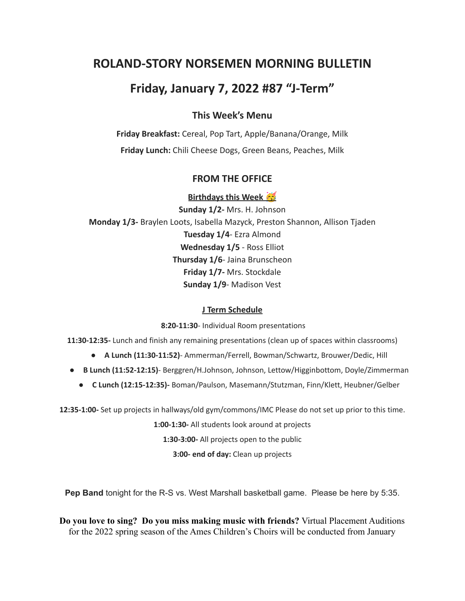# **ROLAND-STORY NORSEMEN MORNING BULLETIN**

# **Friday, January 7, 2022 #87 "J-Term"**

## **This Week's Menu**

**Friday Breakfast:** Cereal, Pop Tart, Apple/Banana/Orange, Milk **Friday Lunch:** Chili Cheese Dogs, Green Beans, Peaches, Milk

### **FROM THE OFFICE**

**Birthdays this Week Sunday 1/2-** Mrs. H. Johnson **Monday 1/3-** Braylen Loots, Isabella Mazyck, Preston Shannon, Allison Tjaden **Tuesday 1/4**- Ezra Almond **Wednesday 1/5** - Ross Elliot **Thursday 1/6**- Jaina Brunscheon **Friday 1/7-** Mrs. Stockdale **Sunday 1/9**- Madison Vest

#### **J Term Schedule**

**8:20-11:30**- Individual Room presentations

**11:30-12:35-** Lunch and finish any remaining presentations (clean up of spaces within classrooms)

- **A Lunch (11:30-11:52)** Ammerman/Ferrell, Bowman/Schwartz, Brouwer/Dedic, Hill
- **B Lunch (11:52-12:15)** Berggren/H.Johnson, Johnson, Lettow/Higginbottom, Doyle/Zimmerman
	- **C Lunch (12:15-12:35)-** Boman/Paulson, Masemann/Stutzman, Finn/Klett, Heubner/Gelber

**12:35-1:00-** Set up projects in hallways/old gym/commons/IMC Please do not set up prior to this time.

**1:00-1:30-** All students look around at projects

**1:30-3:00-** All projects open to the public

**3:00- end of day:** Clean up projects

**Pep Band** tonight for the R-S vs. West Marshall basketball game. Please be here by 5:35.

**Do you love to sing? Do you miss making music with friends?** Virtual Placement Auditions for the 2022 spring season of the Ames Children's Choirs will be conducted from January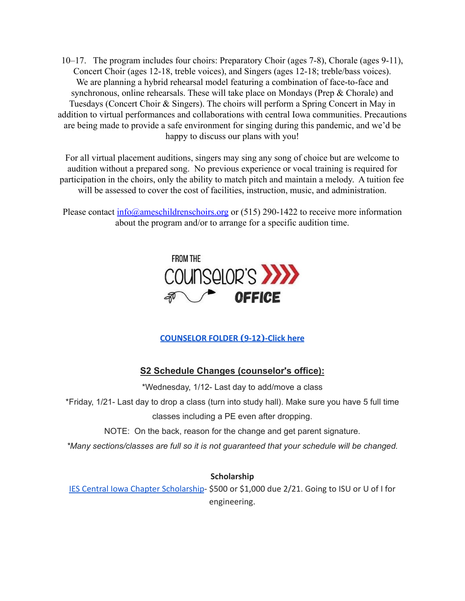10–17. The program includes four choirs: Preparatory Choir (ages 7-8), Chorale (ages 9-11), Concert Choir (ages 12-18, treble voices), and Singers (ages 12-18; treble/bass voices). We are planning a hybrid rehearsal model featuring a combination of face-to-face and synchronous, online rehearsals. These will take place on Mondays (Prep & Chorale) and Tuesdays (Concert Choir & Singers). The choirs will perform a Spring Concert in May in addition to virtual performances and collaborations with central Iowa communities. Precautions are being made to provide a safe environment for singing during this pandemic, and we'd be happy to discuss our plans with you!

For all virtual placement auditions, singers may sing any song of choice but are welcome to audition without a prepared song. No previous experience or vocal training is required for participation in the choirs, only the ability to match pitch and maintain a melody. A tuition fee will be assessed to cover the cost of facilities, instruction, music, and administration.

Please contact  $\frac{info(0, \text{ameschildrenschoir, org} or (515) 290-1422)$  to receive more information about the program and/or to arrange for a specific audition time.



### **[COUNSELOR FOLDER](https://docs.google.com/document/d/1vmwczNPbDzXe9vFaG5LJMQ7NYDv-i4oQJHybqA65TUc/edit?usp=sharing) (9-12)-Click here**

## **S2 Schedule Changes (counselor's office):**

\*Wednesday, 1/12- Last day to add/move a class

\*Friday, 1/21- Last day to drop a class (turn into study hall). Make sure you have 5 full time classes including a PE even after dropping.

NOTE: On the back, reason for the change and get parent signature.

*\*Many sections/classes are full so it is not guaranteed that your schedule will be changed.*

### **Scholarship**

[IES Central Iowa Chapter Scholarship](https://drive.google.com/file/d/1TOCO584mY9ObCqCNa6kBs_Yjrn4wPSdj/view?usp=sharing)- \$500 or \$1,000 due 2/21. Going to ISU or U of I for engineering.